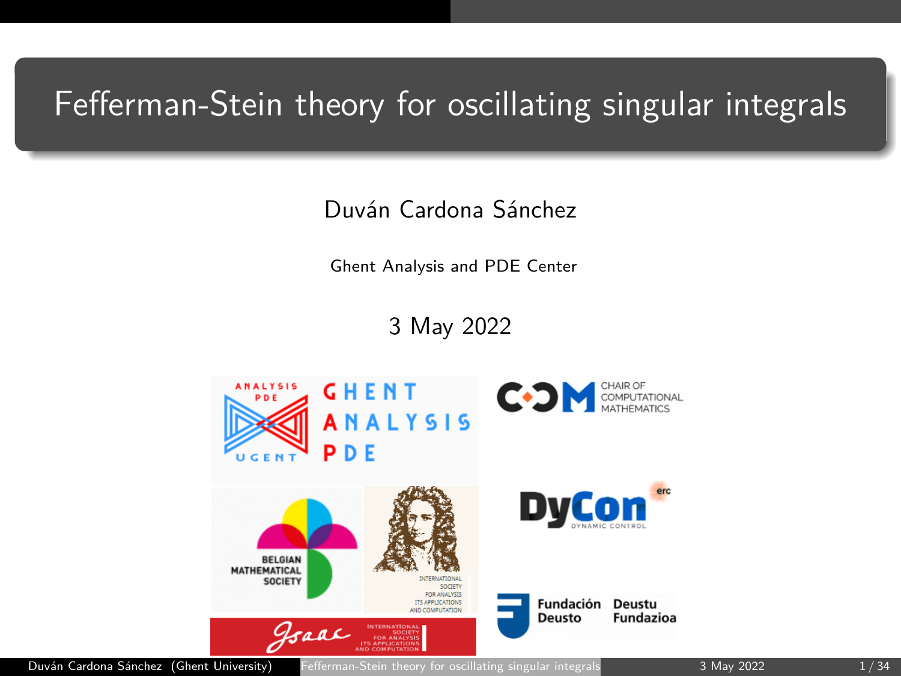# <span id="page-0-0"></span>Fefferman-Stein theory for oscillating singular integrals

Duván Cardona Sánchez

Ghent Analysis and PDE Center

3 May 2022

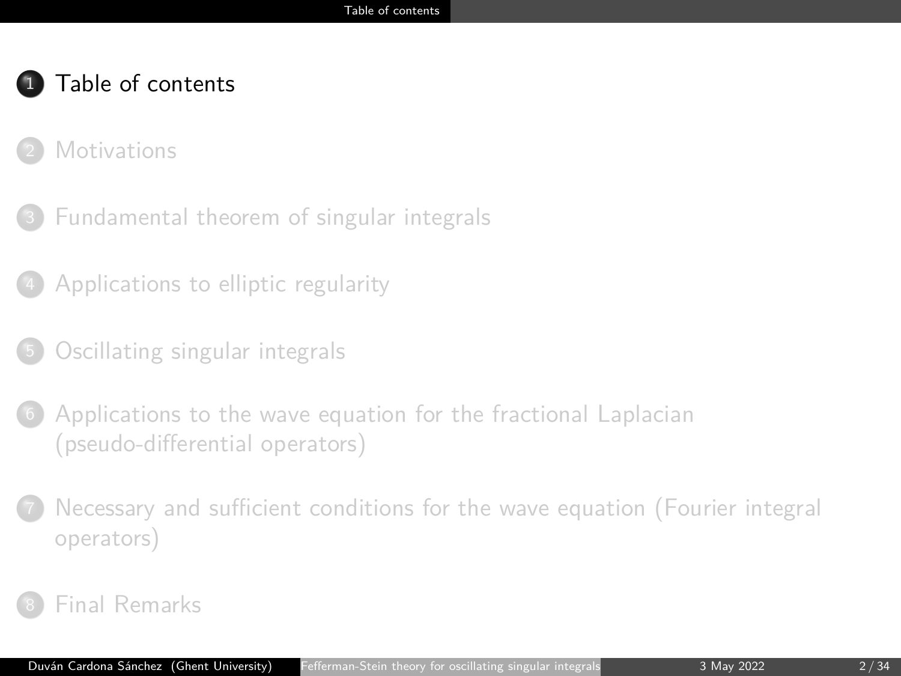- <span id="page-1-0"></span>**[Motivations](#page-3-0)**
- <sup>3</sup> [Fundamental theorem of singular integrals](#page-10-0)
- <sup>4</sup> [Applications to elliptic regularity](#page-13-0)
- <sup>5</sup> [Oscillating singular integrals](#page-16-0)
- [Applications to the wave equation for the fractional Laplacian](#page-19-0) [\(pseudo-differential operators\)](#page-19-0)
- <sup>7</sup> [Necessary and sufficient conditions for the wave equation \(Fourier integral](#page-26-0) [operators\)](#page-26-0)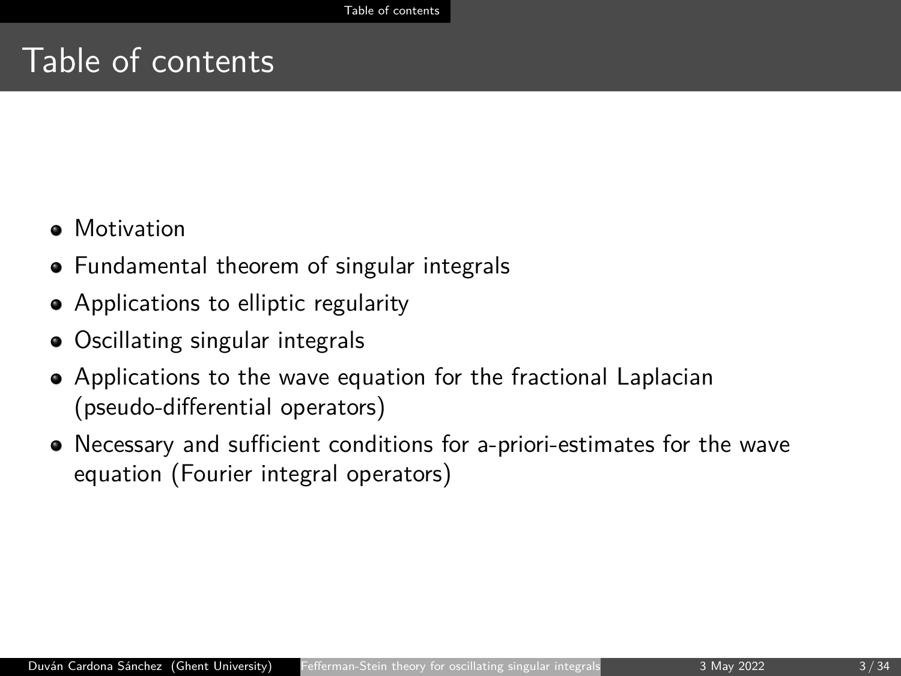- **•** Motivation
- Fundamental theorem of singular integrals
- Applications to elliptic regularity
- Oscillating singular integrals
- Applications to the wave equation for the fractional Laplacian (pseudo-differential operators)
- Necessary and sufficient conditions for a-priori-estimates for the wave equation (Fourier integral operators)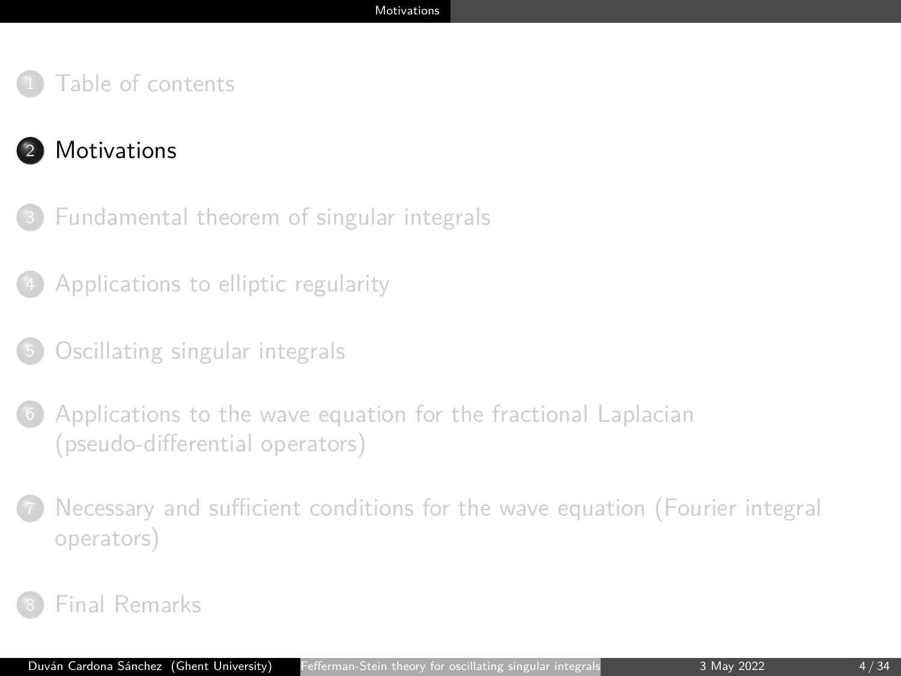## <span id="page-3-0"></span><sup>2</sup> [Motivations](#page-3-0)

- <sup>3</sup> [Fundamental theorem of singular integrals](#page-10-0)
- <sup>4</sup> [Applications to elliptic regularity](#page-13-0)
- <sup>5</sup> [Oscillating singular integrals](#page-16-0)
- [Applications to the wave equation for the fractional Laplacian](#page-19-0) [\(pseudo-differential operators\)](#page-19-0)
- <sup>7</sup> [Necessary and sufficient conditions for the wave equation \(Fourier integral](#page-26-0) [operators\)](#page-26-0)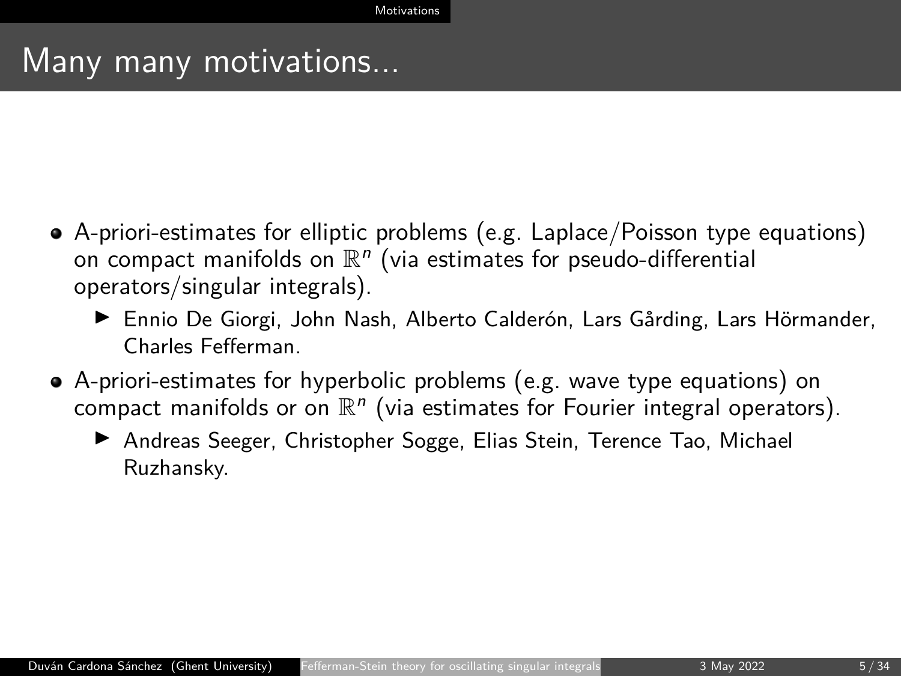## Many many motivations...

- A-priori-estimates for elliptic problems (e.g. Laplace/Poisson type equations) on compact manifolds on  $\mathbb{R}^n$  (via estimates for pseudo-differential operators/singular integrals).
	- ▶ Ennio De Giorgi, John Nash, Alberto Calderón, Lars Gårding, Lars Hörmander, Charles Fefferman.
- A-priori-estimates for hyperbolic problems (e.g. wave type equations) on compact manifolds or on  $\mathbb{R}^n$  (via estimates for Fourier integral operators).
	- ▶ Andreas Seeger, Christopher Sogge, Elias Stein, Terence Tao, Michael Ruzhansky.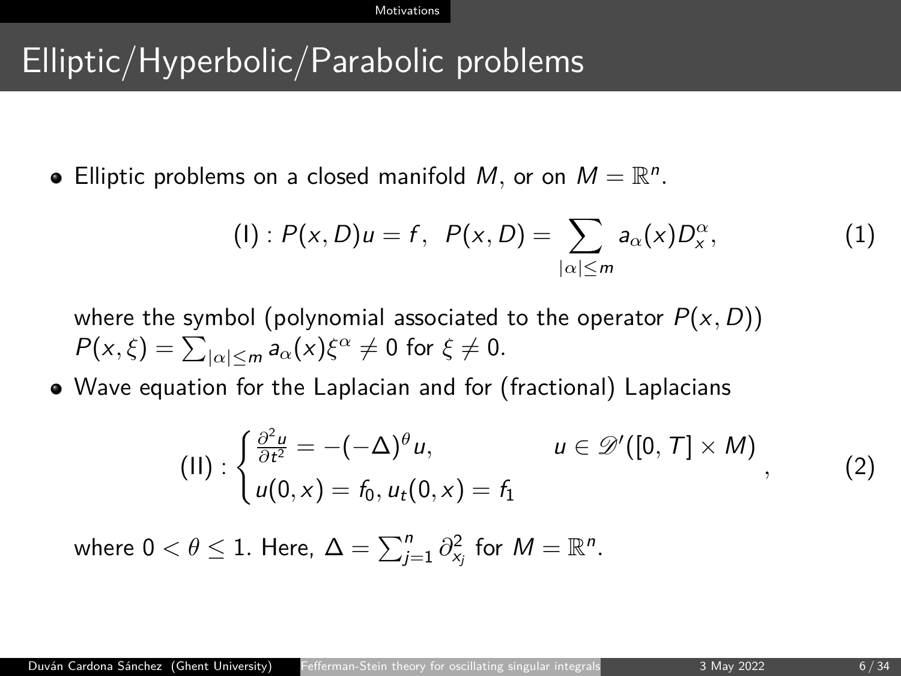# Elliptic/Hyperbolic/Parabolic problems

Elliptic problems on a closed manifold M, or on  $M = \mathbb{R}^n$ .

(I) : 
$$
P(x, D)u = f
$$
,  $P(x, D) = \sum_{|\alpha| \le m} a_{\alpha}(x)D_x^{\alpha}$ , (1)

where the symbol (polynomial associated to the operator  $P(x, D)$ )  $P(x,\xi) = \sum_{|\alpha| \le m} a_{\alpha}(x)\xi^{\alpha} \ne 0$  for  $\xi \ne 0$ .

Wave equation for the Laplacian and for (fractional) Laplacians

$$
(II): \begin{cases} \frac{\partial^2 u}{\partial t^2} = -(-\Delta)^{\theta} u, & u \in \mathscr{D}'([0, T] \times M) \\ u(0, x) = f_0, u_t(0, x) = f_1 \end{cases}
$$
 (2)

where  $0 < \theta \leq 1$ . Here,  $\Delta = \sum_{j=1}^n \partial_{x_j}^2$  for  $M = \mathbb{R}^n$ .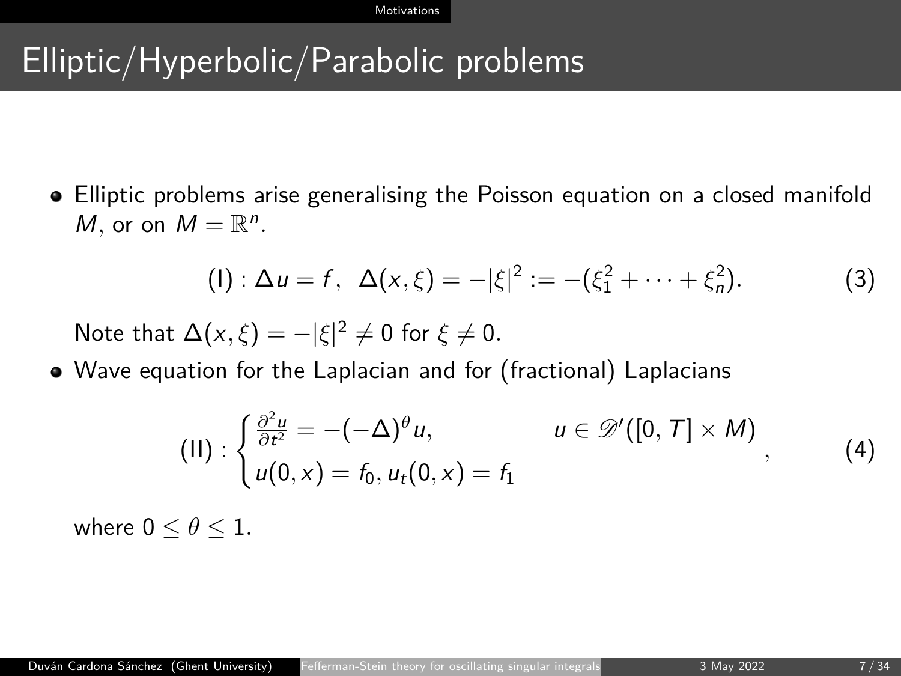# Elliptic/Hyperbolic/Parabolic problems

Elliptic problems arise generalising the Poisson equation on a closed manifold *M*, or on  $M = \mathbb{R}^n$ .

$$
(1): \Delta u = f, \ \Delta(x,\xi) = -|\xi|^2 := -(\xi_1^2 + \cdots + \xi_n^2). \tag{3}
$$

Note that  $\Delta(x,\xi) = -|\xi|^2 \neq 0$  for  $\xi \neq 0$ .

Wave equation for the Laplacian and for (fractional) Laplacians

$$
(II): \begin{cases} \frac{\partial^2 u}{\partial t^2} = -(-\Delta)^{\theta} u, & u \in \mathscr{D}'([0, T] \times M) \\ u(0, x) = f_0, u_t(0, x) = f_1 \end{cases}
$$
 (4)

where  $0 \leq \theta \leq 1$ .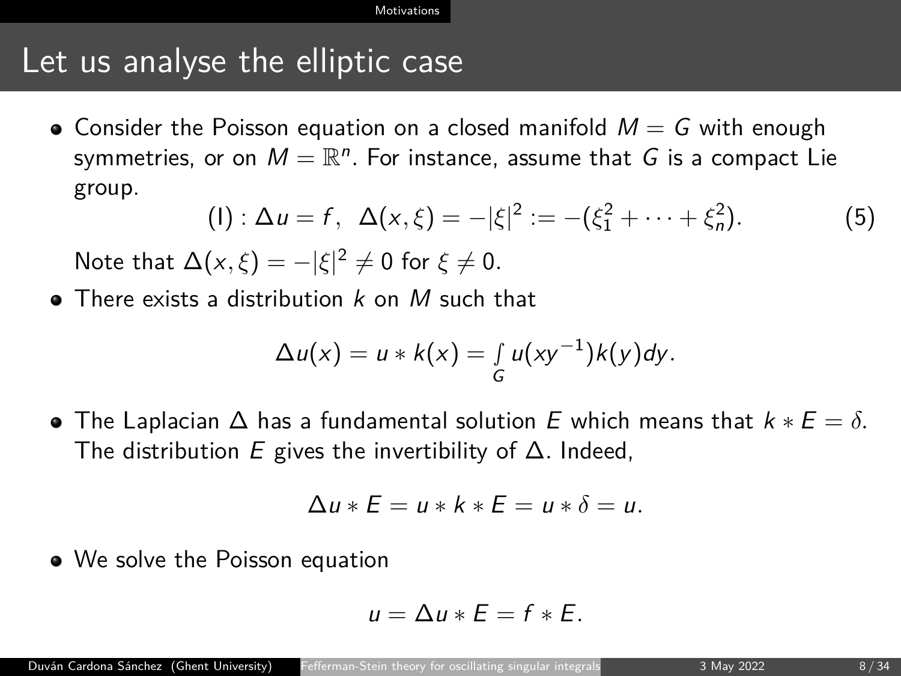## Let us analyse the elliptic case

• Consider the Poisson equation on a closed manifold  $M = G$  with enough symmetries, or on  $M = \mathbb{R}^n$ . For instance, assume that  $G$  is a compact Lie group.

(I) : 
$$
\Delta u = f
$$
,  $\Delta(x,\xi) = -|\xi|^2 := -(\xi_1^2 + \cdots + \xi_n^2)$ . (5)

Note that  $\Delta(x,\xi) = -|\xi|^2 \neq 0$  for  $\xi \neq 0$ .

 $\bullet$  There exists a distribution k on M such that

$$
\Delta u(x) = u * k(x) = \int_G u(xy^{-1})k(y)dy.
$$

 $\bullet$  The Laplacian  $\Delta$  has a fundamental solution E which means that  $k * E = \delta$ . The distribution E gives the invertibility of ∆*.* Indeed,

$$
\Delta u * E = u * k * E = u * \delta = u.
$$

We solve the Poisson equation

$$
u=\Delta u*E=f*E.
$$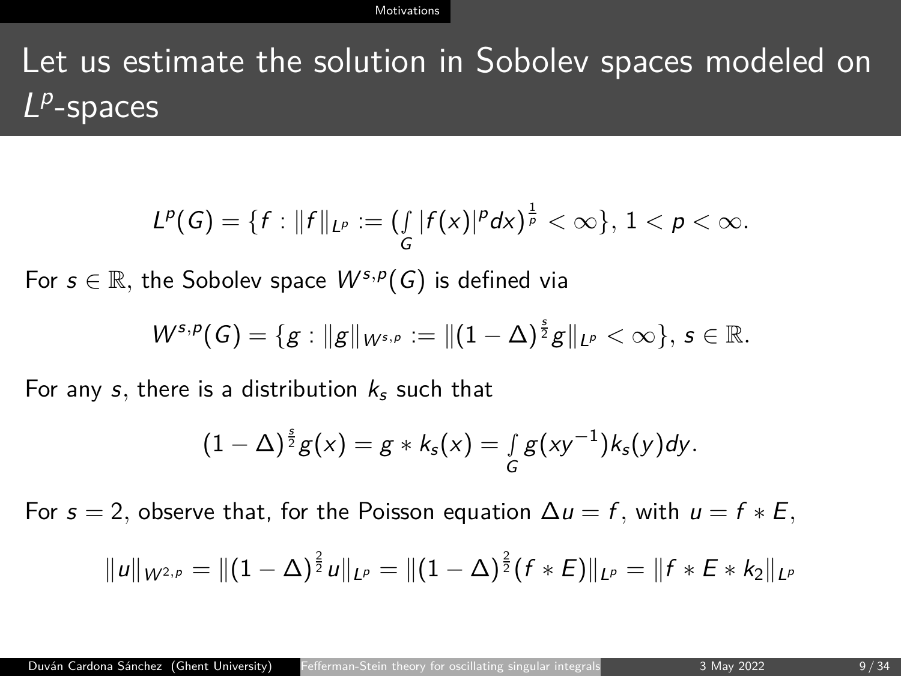Let us estimate the solution in Sobolev spaces modeled on  $L^p$ -spaces

$$
L^p(G) = \{f : ||f||_{L^p} := (\int_G |f(x)|^p dx)^{\frac{1}{p}} < \infty\}, 1 < p < \infty.
$$

For  $s \in \mathbb{R}$ , the Sobolev space  $W^{s,p}(G)$  is defined via

$$
W^{s,p}(G)=\{g:||g||_{W^{s,p}}:=||(1-\Delta)^{\frac{s}{2}}g||_{L^p}<\infty\},\,s\in\mathbb{R}.
$$

For any s, there is a distribution  $k<sub>s</sub>$  such that

$$
(1-\Delta)^{\frac{s}{2}}g(x)=g*k_s(x)=\int_G g(xy^{-1})k_s(y)dy.
$$

For  $s = 2$ , observe that, for the Poisson equation  $\Delta u = f$ , with  $u = f * E$ ,

$$
||u||_{W^{2,p}} = ||(1-\Delta)^{\frac{2}{2}}u||_{L^p} = ||(1-\Delta)^{\frac{2}{2}}(f*E)||_{L^p} = ||f*E* k_2||_{L^p}
$$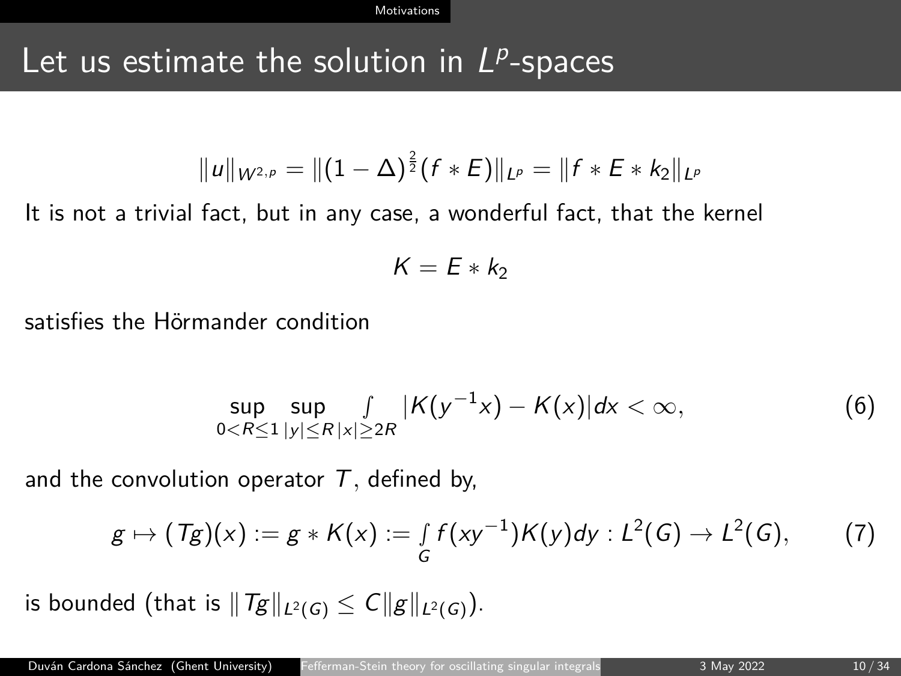# Let us estimate the solution in  $L^p$ -spaces

$$
||u||_{W^{2,p}} = ||(1-\Delta)^{\frac{2}{2}}(f*E)||_{L^p} = ||f*E* k_2||_{L^p}
$$

It is not a trivial fact, but in any case, a wonderful fact, that the kernel

$$
K=E*k_2
$$

satisfies the Hörmander condition

$$
\sup_{0 < R \le 1} \sup_{|y| \le R} \frac{f}{|x| \ge 2R} |K(y^{-1}x) - K(x)| \, dx < \infty,\tag{6}
$$

and the convolution operator T*,* defined by,

$$
g \mapsto (Tg)(x) := g * K(x) := \int_{G} f(xy^{-1})K(y)dy : L^{2}(G) \to L^{2}(G),
$$
 (7)

is bounded (that is  $||Tg||_{L^2(G)} \leq C||g||_{L^2(G)}$ ).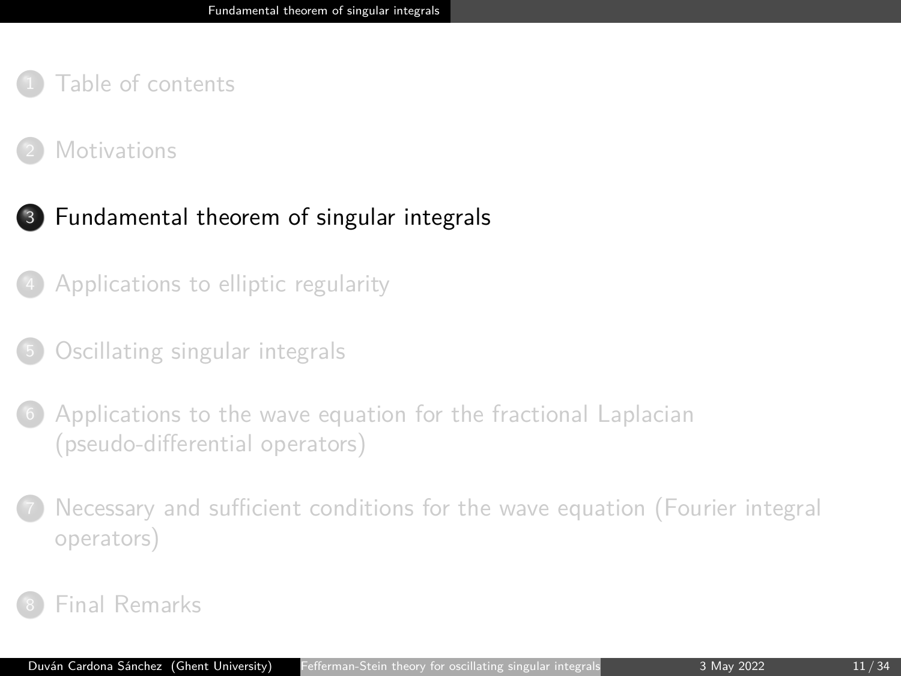#### <span id="page-10-0"></span>**[Motivations](#page-3-0)**

### <sup>3</sup> [Fundamental theorem of singular integrals](#page-10-0)

- <sup>4</sup> [Applications to elliptic regularity](#page-13-0)
- <sup>5</sup> [Oscillating singular integrals](#page-16-0)
- [Applications to the wave equation for the fractional Laplacian](#page-19-0) [\(pseudo-differential operators\)](#page-19-0)
- <sup>7</sup> [Necessary and sufficient conditions for the wave equation \(Fourier integral](#page-26-0) [operators\)](#page-26-0)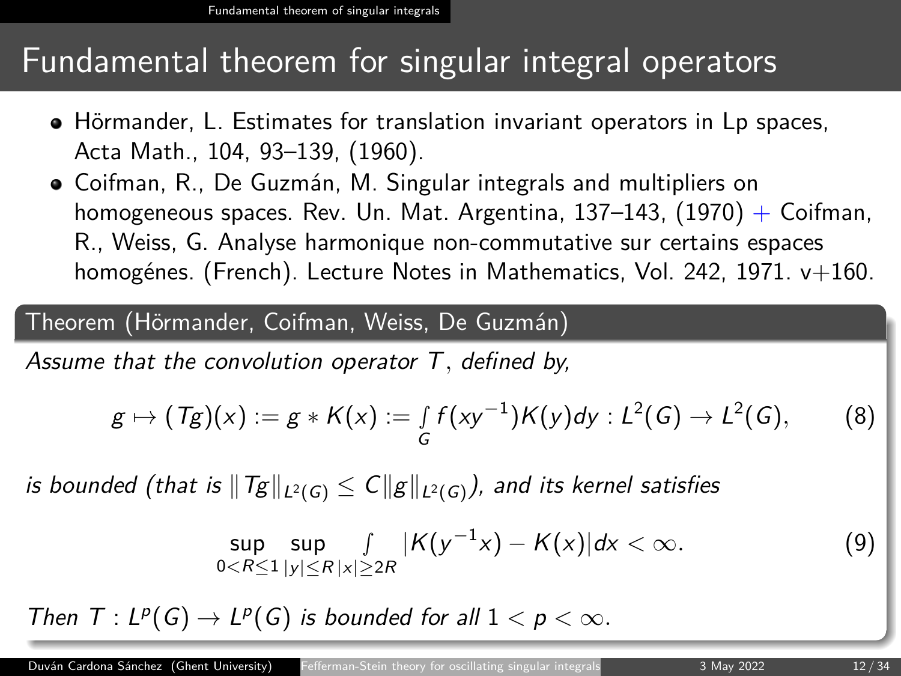## Fundamental theorem for singular integral operators

- Hörmander, L. Estimates for translation invariant operators in Lp spaces, Acta Math., 104, 93–139, (1960).
- Coifman, R., De Guzmán, M. Singular integrals and multipliers on homogeneous spaces. Rev. Un. Mat. Argentina, 137–143,  $(1970) +$  Coifman, R., Weiss, G. Analyse harmonique non-commutative sur certains espaces homogénes. (French). Lecture Notes in Mathematics, Vol. 242, 1971. v+160.

### Theorem (Hörmander, Coifman, Weiss, De Guzmán)

Assume that the convolution operator T*,* defined by,

$$
g \mapsto (Tg)(x) := g * K(x) := \int_G f(xy^{-1})K(y)dy : L^2(G) \to L^2(G), \qquad (8)
$$

is bounded (that is  $||Tg||_{L^2(G)} \leq C||g||_{L^2(G)}$ ), and its kernel satisfies

$$
\sup_{0 < R \leq 1} \sup_{|y| \leq R} \frac{1}{|x| \geq 2R} |K(y^{-1}x) - K(x)| \, dx < \infty. \tag{9}
$$

Then  $T: L^p(G) \to L^p(G)$  is bounded for all  $1 < p < \infty$ .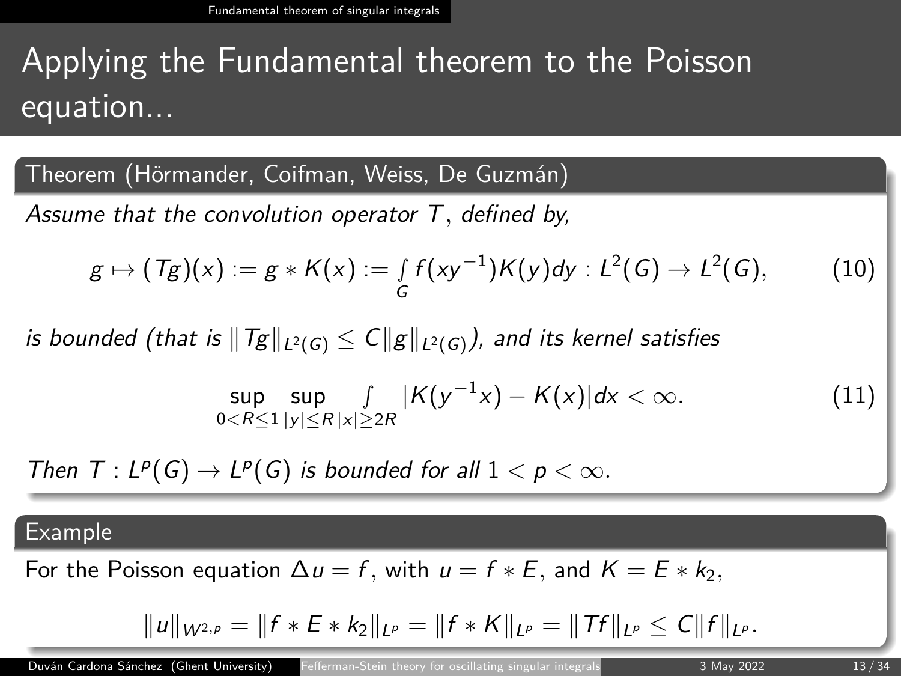# Applying the Fundamental theorem to the Poisson equation...

Theorem (Hörmander, Coifman, Weiss, De Guzmán)

Assume that the convolution operator T*,* defined by,

$$
g \mapsto (Tg)(x) := g * K(x) := \int_G f(xy^{-1})K(y)dy : L^2(G) \to L^2(G), \tag{10}
$$

is bounded (that is  $||Tg||_{L^2(G)} \leq C||g||_{L^2(G)}$ ), and its kernel satisfies

$$
\sup_{0 < R \le 1} \sup_{|y| \le R|x| \ge 2R} |K(y^{-1}x) - K(x)| \, dx < \infty. \tag{11}
$$

Then  $T: L^p(G) \to L^p(G)$  is bounded for all  $1 < p < \infty$ .

#### Example

For the Poisson equation  $\Delta u = f$ , with  $u = f * E$ , and  $K = E * k_2$ ,

$$
||u||_{W^{2,p}} = ||f * E * k_2||_{L^p} = ||f * K||_{L^p} = ||Tf||_{L^p} \leq C||f||_{L^p}.
$$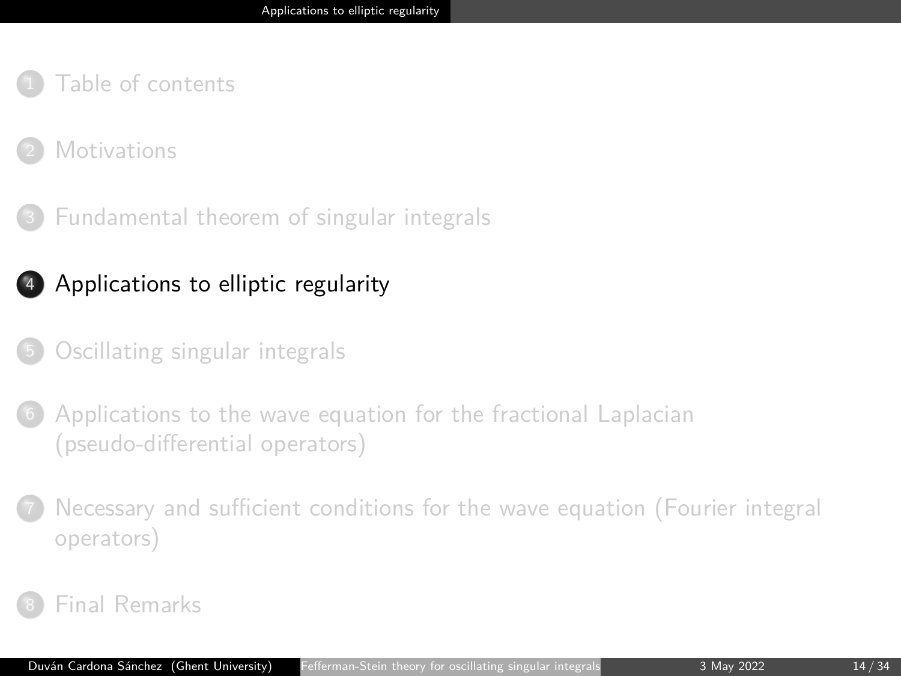### <span id="page-13-0"></span>**[Motivations](#page-3-0)**

<sup>3</sup> [Fundamental theorem of singular integrals](#page-10-0)

## <sup>4</sup> [Applications to elliptic regularity](#page-13-0)

- <sup>5</sup> [Oscillating singular integrals](#page-16-0)
- [Applications to the wave equation for the fractional Laplacian](#page-19-0) [\(pseudo-differential operators\)](#page-19-0)
- <sup>7</sup> [Necessary and sufficient conditions for the wave equation \(Fourier integral](#page-26-0) [operators\)](#page-26-0)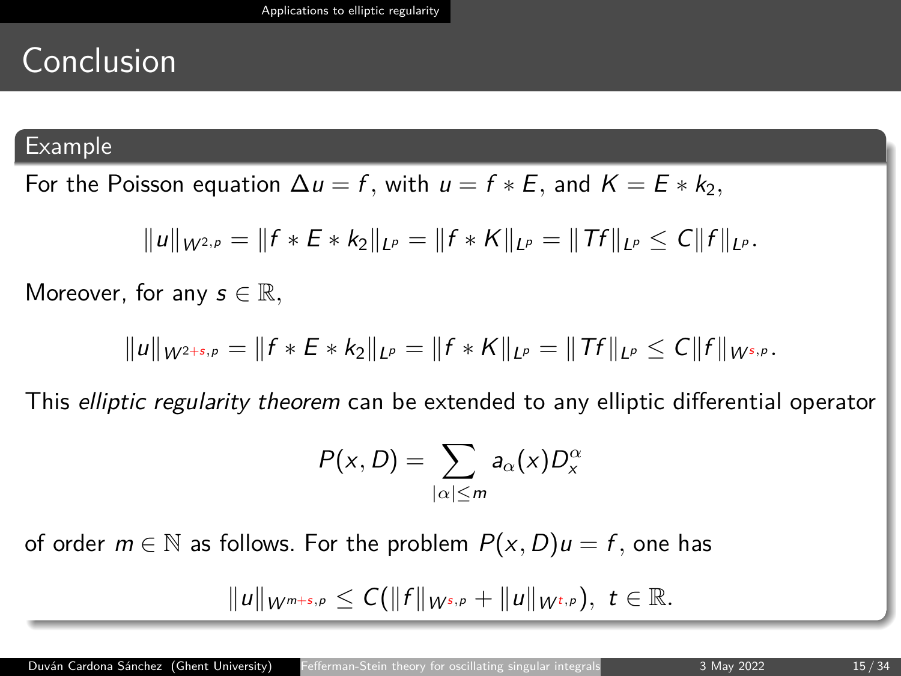# Conclusion

#### Example

For the Poisson equation  $\Delta u = f$ , with  $u = f * E$ , and  $K = E * k_2$ ,

$$
||u||_{W^{2,p}} = ||f * E * k_2||_{L^p} = ||f * K||_{L^p} = ||Tf||_{L^p} \leq C||f||_{L^p}.
$$

Moreover, for any  $s \in \mathbb{R}$ ,

$$
||u||_{W^{2+s,p}} = ||f * E * k_2||_{L^p} = ||f * K||_{L^p} = ||Tf||_{L^p} \leq C||f||_{W^{s,p}}.
$$

This elliptic regularity theorem can be extended to any elliptic differential operator

$$
P(x, D) = \sum_{|\alpha| \leq m} a_{\alpha}(x) D_x^{\alpha}
$$

of order  $m \in \mathbb{N}$  as follows. For the problem  $P(x, D)u = f$ , one has

$$
||u||_{W^{m+s,p}} \leq C(||f||_{W^{s,p}} + ||u||_{W^{t,p}}), \ t \in \mathbb{R}.
$$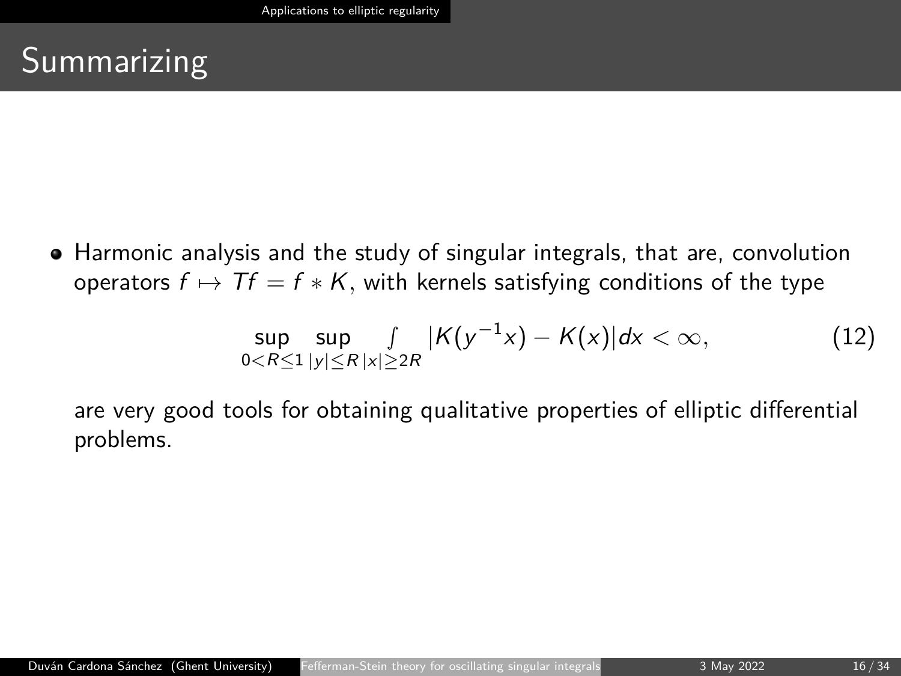# **Summarizing**

• Harmonic analysis and the study of singular integrals, that are, convolution operators  $f \mapsto Tf = f * K$ , with kernels satisfying conditions of the type

$$
\sup_{0 < R \le 1} \sup_{|y| \le R} \frac{1}{|x| \ge 2R} |K(y^{-1}x) - K(x)| \, dx < \infty,\tag{12}
$$

are very good tools for obtaining qualitative properties of elliptic differential problems.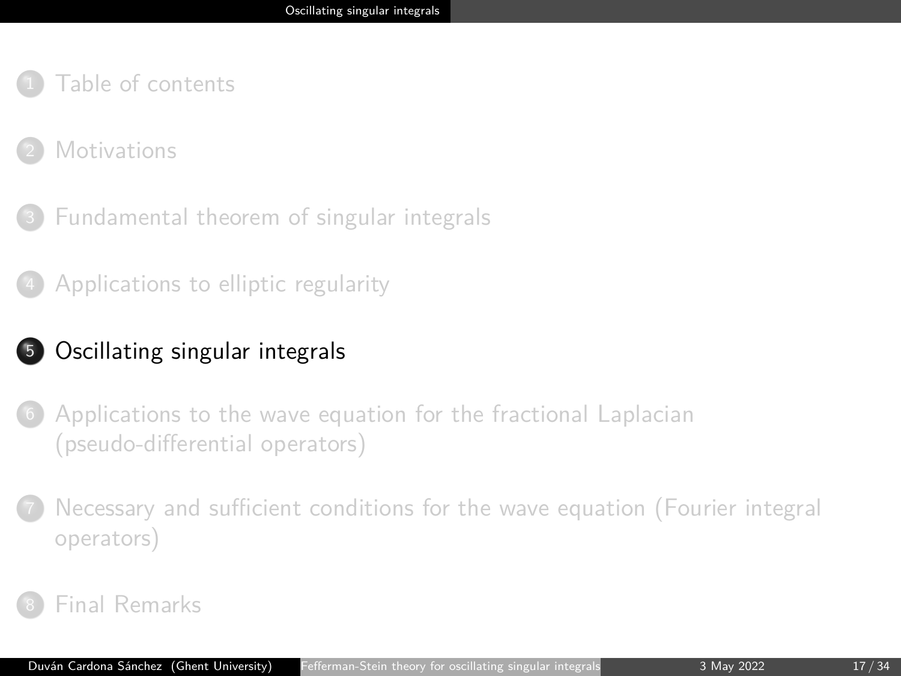### <span id="page-16-0"></span>**[Motivations](#page-3-0)**

<sup>3</sup> [Fundamental theorem of singular integrals](#page-10-0)

<sup>4</sup> [Applications to elliptic regularity](#page-13-0)

## <sup>5</sup> [Oscillating singular integrals](#page-16-0)

[Applications to the wave equation for the fractional Laplacian](#page-19-0) [\(pseudo-differential operators\)](#page-19-0)

<sup>7</sup> [Necessary and sufficient conditions for the wave equation \(Fourier integral](#page-26-0) [operators\)](#page-26-0)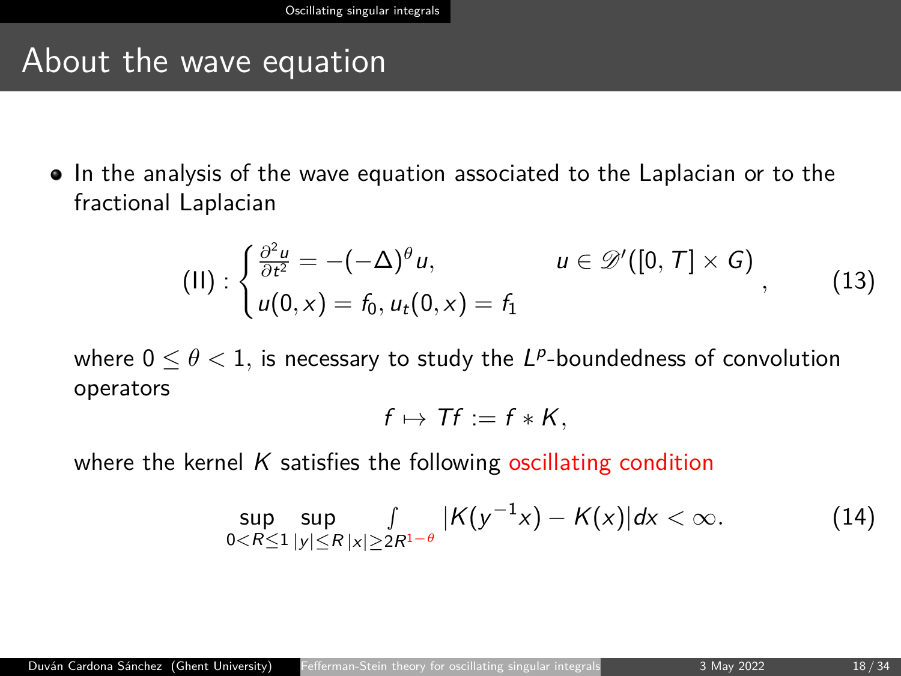## About the wave equation

In the analysis of the wave equation associated to the Laplacian or to the fractional Laplacian

$$
(II): \begin{cases} \frac{\partial^2 u}{\partial t^2} = -(-\Delta)^{\theta} u, & u \in \mathscr{D}'([0, T] \times G) \\ u(0, x) = f_0, u_t(0, x) = f_1 \end{cases}
$$
\n
$$
(13)
$$

where  $0 \leq \theta < 1$ , is necessary to study the  $L^p$ -boundedness of convolution operators

$$
f\mapsto Tf:=f*K,
$$

where the kernel  $K$  satisfies the following oscillating condition

$$
\sup_{0 < R \leq 1} \sup_{|y| \leq R} \int_{|x| \geq 2R^{1-\theta}} |K(y^{-1}x) - K(x)| dx < \infty. \tag{14}
$$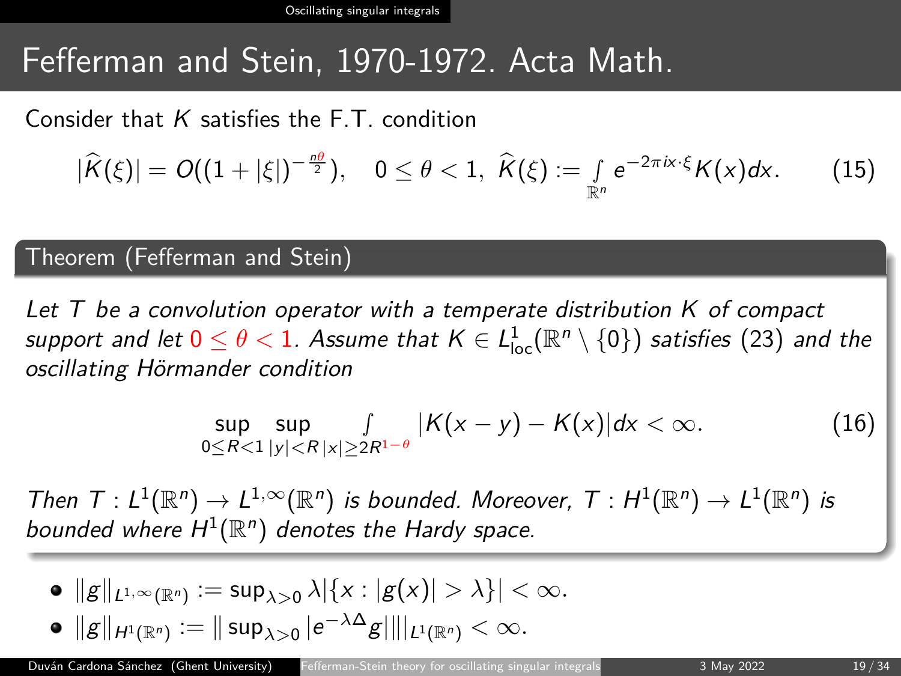[Oscillating singular integrals](#page-16-0)

# Fefferman and Stein, 1970-1972. Acta Math.

Consider that  $K$  satisfies the  $FT$  condition

<span id="page-18-0"></span>
$$
|\widehat{K}(\xi)|=O((1+|\xi|)^{-\frac{n\theta}{2}}),\quad 0\leq\theta<1,\ \widehat{K}(\xi):=\int\limits_{\mathbb{R}^n}e^{-2\pi i x\cdot\xi}K(x)dx.\qquad(15)
$$

#### Theorem (Fefferman and Stein)

Let  $T$  be a convolution operator with a temperate distribution  $K$  of compact support and let  $0\leq \theta < 1.$  Assume that  $\mathcal{K}\in L^1_{\rm loc}(\mathbb{R}^n\setminus\{0\})$  satisfies  $(23)$  and the oscillating Hörmander condition

$$
\sup_{0 \le R < 1} \sup_{|y| < R} \int_{|x| \ge 2R^{1-\theta}} |K(x - y) - K(x)| dx < \infty. \tag{16}
$$

Then  $T: L^1(\mathbb{R}^n) \to L^{1,\infty}(\mathbb{R}^n)$  is bounded. Moreover,  $T: H^1(\mathbb{R}^n) \to L^1(\mathbb{R}^n)$  is bounded where  $H^1(\mathbb{R}^n)$  denotes the Hardy space.

 $||g||_{L^{1,\infty}(\mathbb{R}^n)} := \sup_{\lambda>0} \lambda |\{x: |g(x)|>\lambda\}| < \infty.$  $||g||_{H^1(\mathbb{R}^n)} := ||\sup_{\lambda>0} |e^{-\lambda \Delta} g|| ||_{L^1(\mathbb{R}^n)} < \infty.$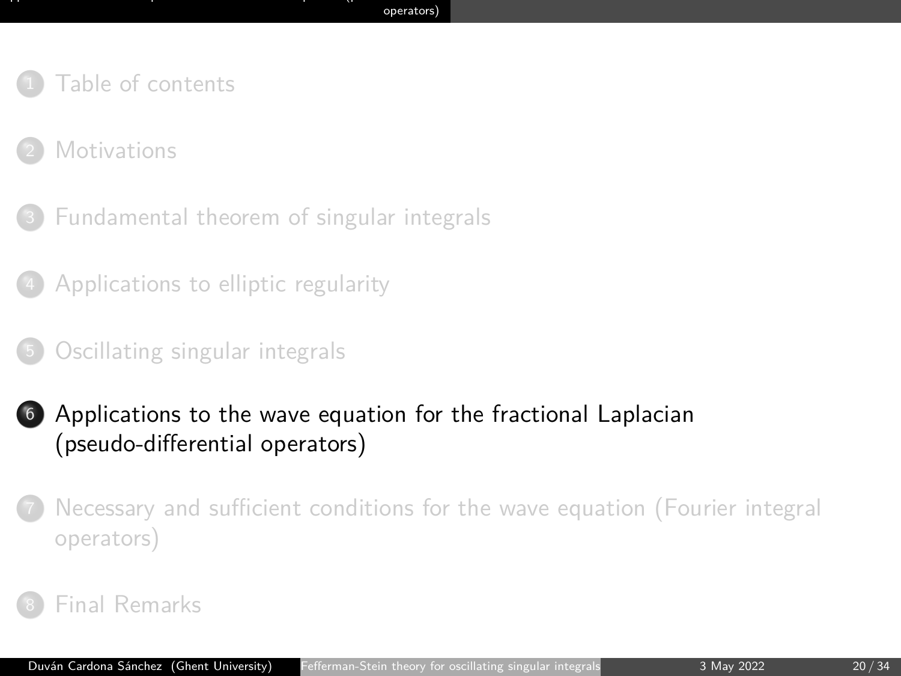- <span id="page-19-0"></span>[Table of contents](#page-1-0)
- **[Motivations](#page-3-0)**
- <sup>3</sup> [Fundamental theorem of singular integrals](#page-10-0)
- <sup>4</sup> [Applications to elliptic regularity](#page-13-0)
- <sup>5</sup> [Oscillating singular integrals](#page-16-0)
- <sup>6</sup> [Applications to the wave equation for the fractional Laplacian](#page-19-0) [\(pseudo-differential operators\)](#page-19-0)
- <sup>7</sup> [Necessary and sufficient conditions for the wave equation \(Fourier integral](#page-26-0) [operators\)](#page-26-0)
- [Final Remarks](#page-31-0)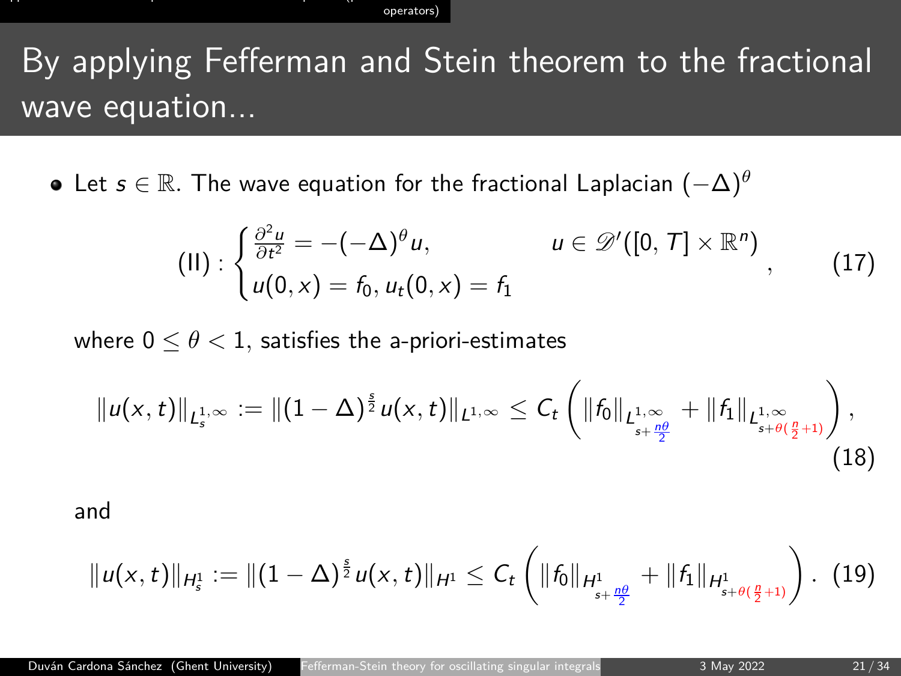# By applying Fefferman and Stein theorem to the fractional wave equation...

Let s ∈ R*.* The wave equation for the fractional Laplacian (−∆)*<sup>θ</sup>*

$$
(II): \begin{cases} \frac{\partial^2 u}{\partial t^2} = -(-\Delta)^{\theta} u, & u \in \mathscr{D}'([0,T] \times \mathbb{R}^n) \\ u(0,x) = f_0, u_t(0,x) = f_1 \end{cases}
$$
 (17)

where  $0 \leq \theta < 1$ , satisfies the a-priori-estimates

$$
||u(x,t)||_{L^{1,\infty}_{s}} := ||(1-\Delta)^{\frac{s}{2}}u(x,t)||_{L^{1,\infty}} \leq C_{t} \left(||f_{0}||_{L^{1,\infty}_{s+\frac{\rho\beta}{2}}} + ||f_{1}||_{L^{1,\infty}_{s+\theta(\frac{\rho}{2}+1)}}\right), \tag{18}
$$

and

$$
||u(x,t)||_{H_s^1} := ||(1-\Delta)^{\frac{s}{2}}u(x,t)||_{H^1} \leq C_t \left(||f_0||_{H_{s+\frac{n\theta}{2}}^1} + ||f_1||_{H_{s+\theta(\frac{n}{2}+1)}^1}\right).
$$
 (19)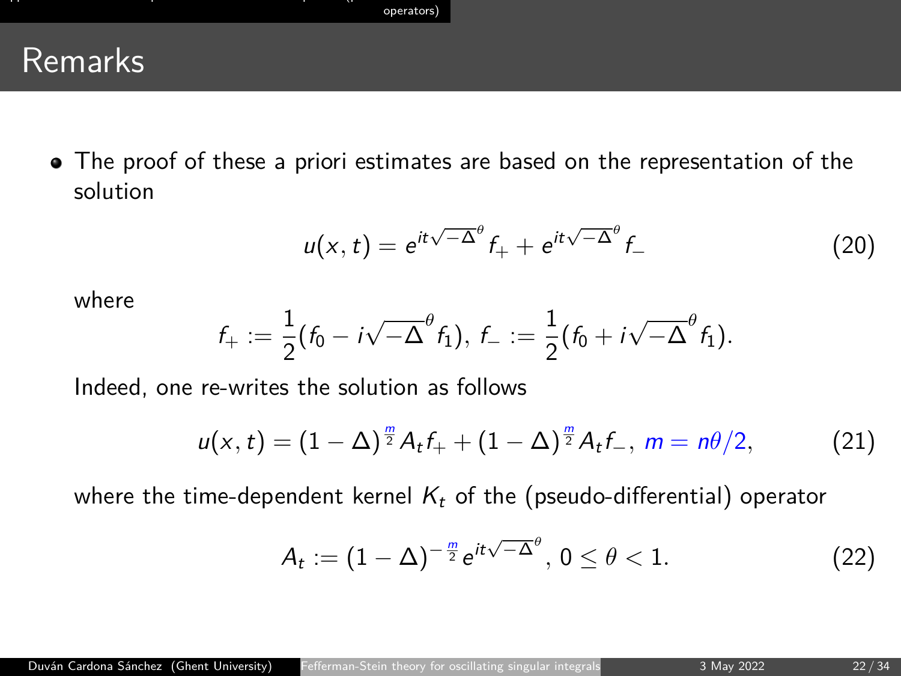## Remarks

• The proof of these a priori estimates are based on the representation of the solution

$$
u(x,t) = e^{it\sqrt{-\Delta}^\theta} f_+ + e^{it\sqrt{-\Delta}^\theta} f_- \tag{20}
$$

where

$$
f_+:=\frac{1}{2}\big(f_0-i\sqrt{-\Delta}^\theta f_1\big),\,f_-:=\frac{1}{2}\big(f_0+i\sqrt{-\Delta}^\theta f_1\big).
$$

Indeed, one re-writes the solution as follows

$$
u(x,t) = (1 - \Delta)^{\frac{m}{2}} A_t f_+ + (1 - \Delta)^{\frac{m}{2}} A_t f_-, \ m = n\theta/2, \tag{21}
$$

where the time-dependent kernel  $K_t$  of the (pseudo-differential) operator

$$
A_t := (1 - \Delta)^{-\frac{m}{2}} e^{it\sqrt{-\Delta}^{\theta}}, 0 \leq \theta < 1.
$$
 (22)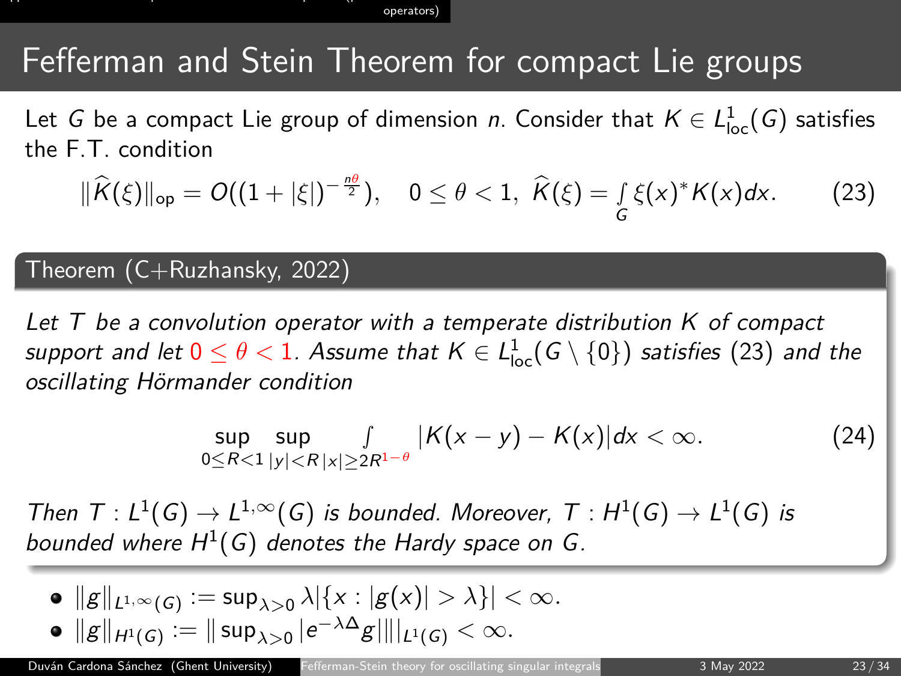# Fefferman and Stein Theorem for compact Lie groups

Let G be a compact Lie group of dimension n. Consider that  $K \in L^1_{loc}(G)$  satisfies the F.T. condition

$$
\|\widehat{K}(\xi)\|_{\text{op}} = O((1+|\xi|)^{-\frac{n\theta}{2}}), \quad 0 \leq \theta < 1, \ \widehat{K}(\xi) = \int\limits_{G} \xi(x)^{*} K(x) dx. \tag{23}
$$

#### Theorem (C+Ruzhansky, 2022)

Let  $T$  be a convolution operator with a temperate distribution  $K$  of compact support and let  $0\leq \theta < 1.$  Assume that  $\mathsf{K}\in\mathsf{L}_\mathsf{loc}^1(\mathsf{G}\setminus\{0\})$  satisfies  $(23)$  and the oscillating Hörmander condition

$$
\sup_{0 \le R < 1} \sup_{|y| < R} \frac{f}{|x| \ge 2R^{1-\theta}} |K(x - y) - K(x)| \, dx < \infty. \tag{24}
$$

Then  $T: L^1(G) \to L^{1,\infty}(G)$  is bounded. Moreover,  $T: H^1(G) \to L^1(G)$  is bounded where  $H^1(G)$  denotes the Hardy space on G.

\n- \n
$$
\|\mathbf{g}\|_{L^{1,\infty}(G)} := \sup_{\lambda > 0} \lambda \|\{x : |\mathbf{g}(x)| > \lambda\}| < \infty.
$$
\n
\n- \n
$$
\|\mathbf{g}\|_{H^1(G)} := \|\sup_{\lambda > 0} |e^{-\lambda \Delta} \mathbf{g}| \|\|_{L^1(G)} < \infty.
$$
\n
\n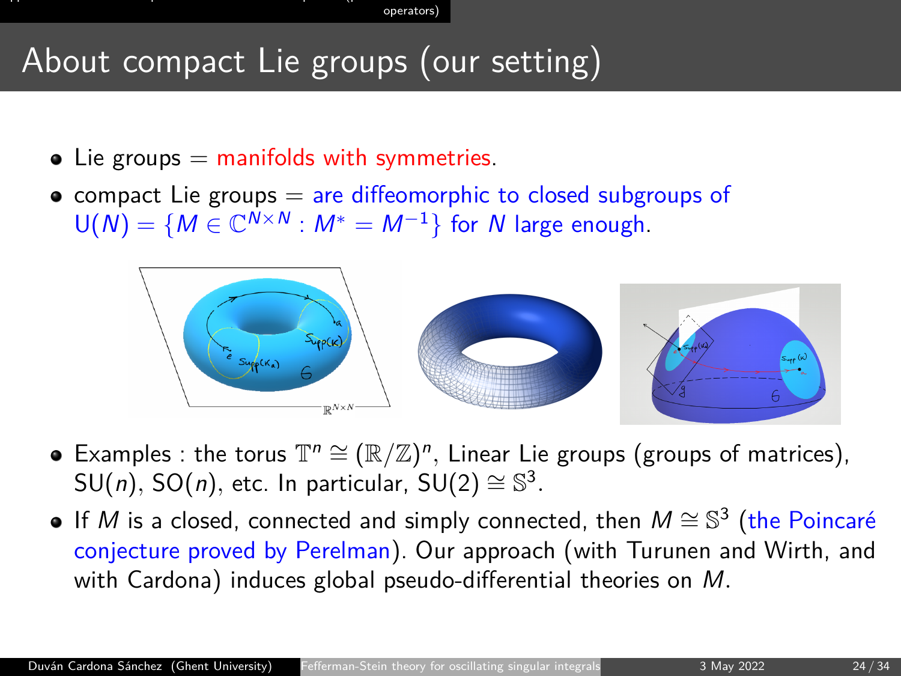operator

# About compact Lie groups (our setting)

- $\bullet$  Lie groups  $=$  manifolds with symmetries.
- $\bullet$  compact Lie groups  $=$  are diffeomorphic to closed subgroups of  $U(N) = \{M \in \mathbb{C}^{N \times N} : M^* = M^{-1}\}\$  for N large enough.



- Examples : the torus  $\mathbb{T}^n \cong (\mathbb{R}/\mathbb{Z})^n$ , Linear Lie groups (groups of matrices),  $\mathsf{SU}(n)$ ,  $\mathsf{SO}(n)$ , etc. In particular,  $\mathsf{SU}(2) \cong \mathbb{S}^3$ .
- If M is a closed, connected and simply connected, then  $M \cong \mathbb{S}^3$  (the Poincaré conjecture proved by Perelman). Our approach (with Turunen and Wirth, and with Cardona) induces global pseudo-differential theories on M*.*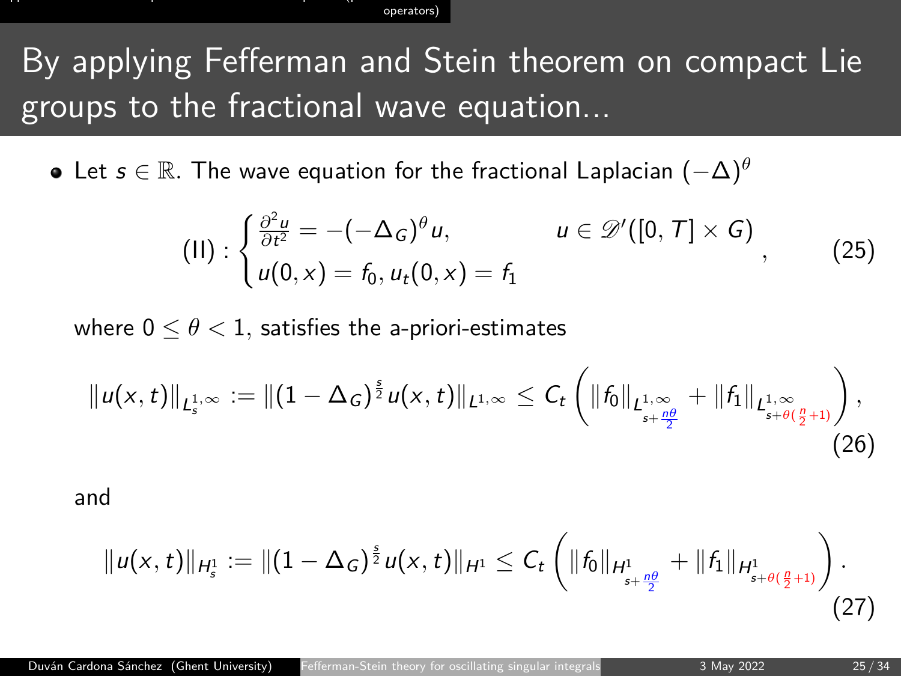# By applying Fefferman and Stein theorem on compact Lie groups to the fractional wave equation...

Let s ∈ R*.* The wave equation for the fractional Laplacian (−∆)*<sup>θ</sup>*

$$
(II): \begin{cases} \frac{\partial^2 u}{\partial t^2} = -(-\Delta_G)^\theta u, & u \in \mathscr{D}'([0,T] \times G) \\ u(0,x) = f_0, u_t(0,x) = f_1 \end{cases}
$$
 (25)

where  $0 \le \theta \le 1$ , satisfies the a-priori-estimates

$$
||u(x,t)||_{L_s^{1,\infty}} := ||(1-\Delta_G)^{\frac{s}{2}}u(x,t)||_{L^{1,\infty}} \leq C_t \left(||f_0||_{L_{s+\frac{\rho\theta}{2}}} + ||f_1||_{L_{s+\theta(\frac{\rho}{2}+1)}}\right),\tag{26}
$$

and

$$
||u(x,t)||_{H_s^1} := ||(1-\Delta_G)^{\frac{s}{2}}u(x,t)||_{H^1} \leq C_t \left(||f_0||_{H^1_{s+\frac{n\theta}{2}}} + ||f_1||_{H^1_{s+\theta(\frac{n}{2}+1)}}\right).
$$
\n(27)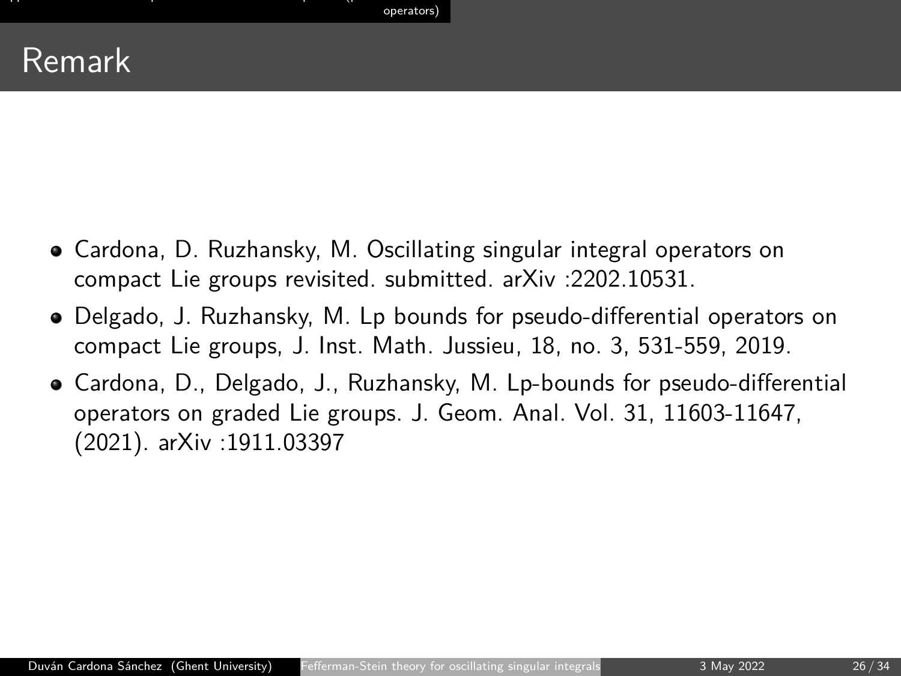# Remark

- Cardona, D. Ruzhansky, M. Oscillating singular integral operators on compact Lie groups revisited. submitted. arXiv :2202.10531.
- Delgado, J. Ruzhansky, M. Lp bounds for pseudo-differential operators on compact Lie groups, J. Inst. Math. Jussieu, 18, no. 3, 531-559, 2019.
- Cardona, D., Delgado, J., Ruzhansky, M. Lp-bounds for pseudo-differential operators on graded Lie groups. J. Geom. Anal. Vol. 31, 11603-11647, (2021). arXiv :1911.03397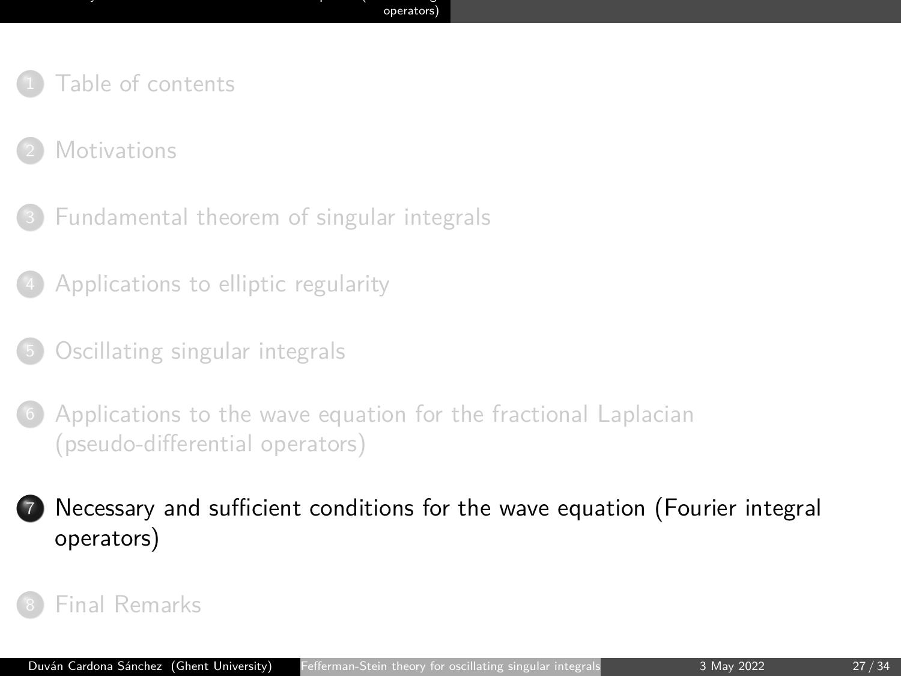- <span id="page-26-0"></span>**[Motivations](#page-3-0)**
- <sup>3</sup> [Fundamental theorem of singular integrals](#page-10-0)
- <sup>4</sup> [Applications to elliptic regularity](#page-13-0)
- <sup>5</sup> [Oscillating singular integrals](#page-16-0)
- [Applications to the wave equation for the fractional Laplacian](#page-19-0) [\(pseudo-differential operators\)](#page-19-0)

<sup>7</sup> [Necessary and sufficient conditions for the wave equation \(Fourier integral](#page-26-0) [operators\)](#page-26-0)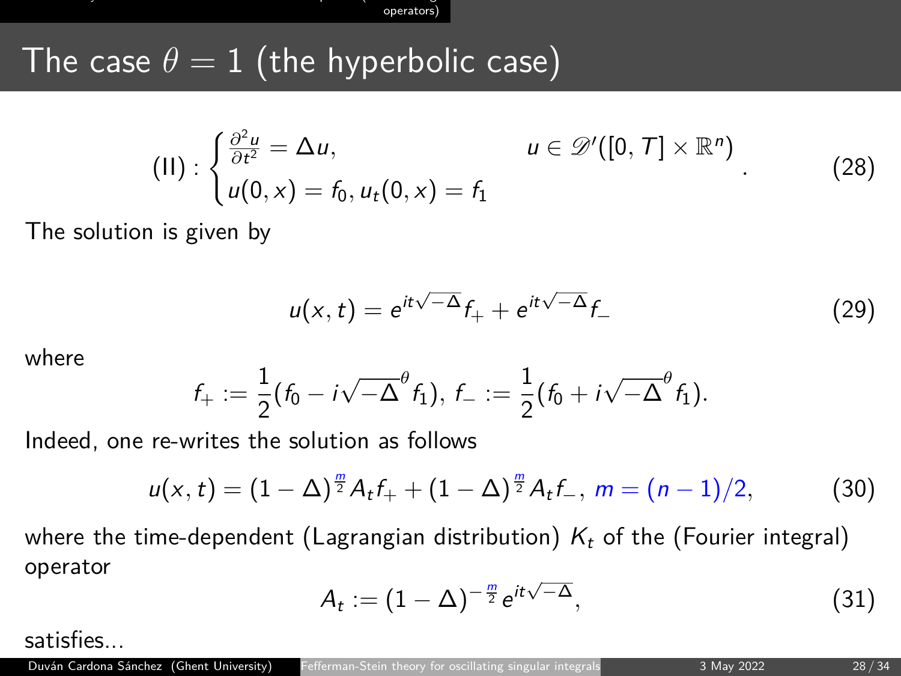[Necessary and sufficient conditions for the wave equation \(Fourier integral](#page-26-0) [operators\)](#page-26-0)

# The case  $\theta = 1$  (the hyperbolic case)

$$
(II): \begin{cases} \frac{\partial^2 u}{\partial t^2} = \Delta u, & u \in \mathscr{D}'([0,T] \times \mathbb{R}^n) \\ u(0,x) = f_0, u_t(0,x) = f_1 \end{cases}
$$
 (28)

The solution is given by

$$
u(x,t) = e^{it\sqrt{-\Delta}}f_{+} + e^{it\sqrt{-\Delta}}f_{-}
$$
 (29)

where

$$
f_+:=\frac{1}{2}(f_0-i\sqrt{-\Delta}^{\theta}f_1),\,f_-:=\frac{1}{2}(f_0+i\sqrt{-\Delta}^{\theta}f_1).
$$

Indeed, one re-writes the solution as follows

$$
u(x,t)=(1-\Delta)^{\frac{m}{2}}A_{t}f_{+}+(1-\Delta)^{\frac{m}{2}}A_{t}f_{-}, m=(n-1)/2,
$$
 (30)

where the time-dependent (Lagrangian distribution)  $K_t$  of the (Fourier integral) operator

$$
A_t := (1 - \Delta)^{-\frac{m}{2}} e^{it\sqrt{-\Delta}}, \qquad (31)
$$

satisfies...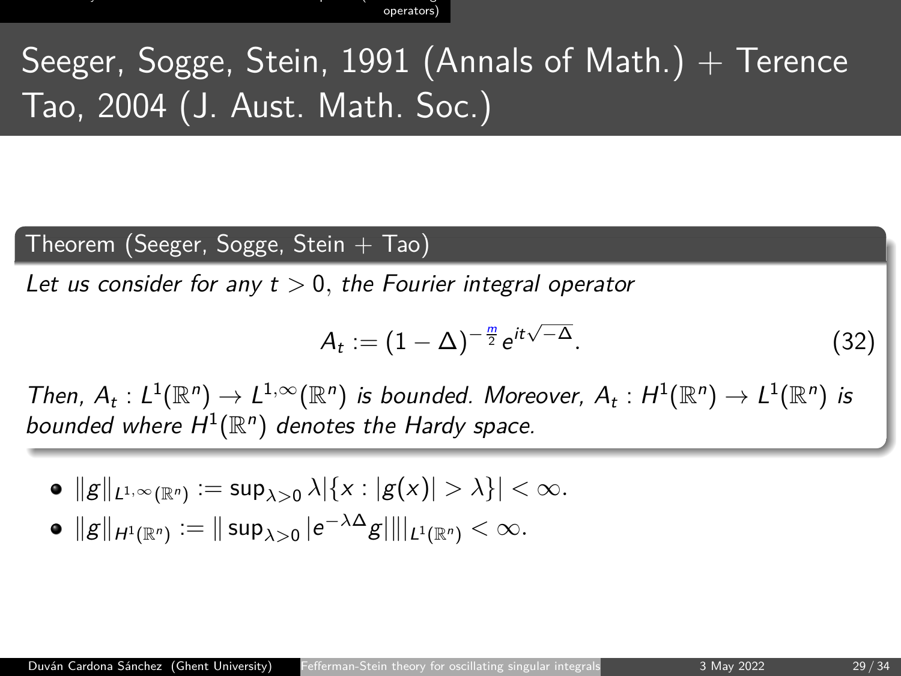[Necessary and sufficient conditions for the wave equation \(Fourier integral](#page-26-0) operator

# Seeger, Sogge, Stein, 1991 (Annals of Math.)  $+$  Terence Tao, 2004 (J. Aust. Math. Soc.)

#### Theorem (Seeger, Sogge, Stein  $+$  Tao)

Let us consider for any t *>* 0*,* the Fourier integral operator

$$
A_t := (1 - \Delta)^{-\frac{m}{2}} e^{it\sqrt{-\Delta}}.
$$
\n(32)

Then,  $A_t: L^1(\mathbb{R}^n) \to L^{1,\infty}(\mathbb{R}^n)$  is bounded. Moreover,  $A_t: H^1(\mathbb{R}^n) \to L^1(\mathbb{R}^n)$  is bounded where  $H^1(\mathbb{R}^n)$  denotes the Hardy space.

 $||g||_{L^{1,\infty}(\mathbb{R}^n)} := \sup_{\lambda>0} \lambda |\{x: |g(x)|>\lambda\}| < \infty.$ 

$$
\bullet \ \Vert g \Vert_{H^1(\mathbb{R}^n)} := \Vert \sup\nolimits_{\lambda >0} \vert e^{-\lambda \Delta} g \vert \Vert \vert_{L^1(\mathbb{R}^n)} < \infty.
$$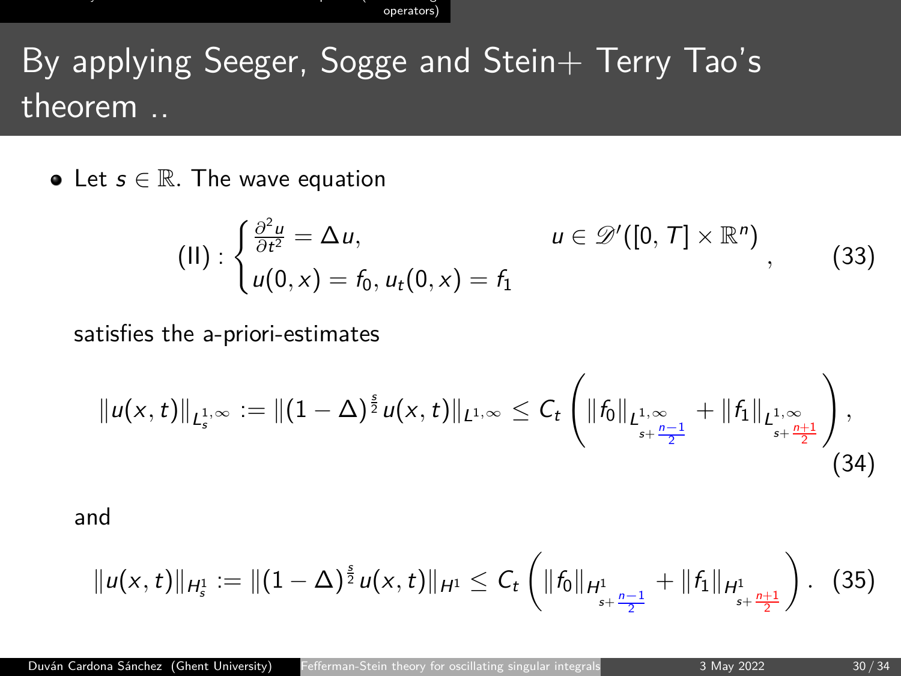[Necessary and sufficient conditions for the wave equation \(Fourier integral](#page-26-0) [operators\)](#page-26-0)

# By applying Seeger, Sogge and Stein+ Terry Tao's theorem ..

• Let  $s \in \mathbb{R}$ . The wave equation

$$
(II) : \begin{cases} \frac{\partial^2 u}{\partial t^2} = \Delta u, & u \in \mathscr{D}'([0, T] \times \mathbb{R}^n) \\ u(0, x) = f_0, u_t(0, x) = f_1 \end{cases}
$$
 (33)

#### satisfies the a-priori-estimates

$$
||u(x,t)||_{L_s^{1,\infty}} := ||(1-\Delta)^{\frac{s}{2}}u(x,t)||_{L^{1,\infty}} \leq C_t \left(||f_0||_{L_{s+\frac{n-1}{2}}} + ||f_1||_{L_{s+\frac{n+1}{2}}} \right),\tag{34}
$$

and

$$
||u(x,t)||_{H_s^1} := ||(1-\Delta)^{\frac{s}{2}}u(x,t)||_{H^1} \leq C_t \left(||f_0||_{H_{s+\frac{n-1}{2}}^1} + ||f_1||_{H_{s+\frac{n+1}{2}}^1}\right). \tag{35}
$$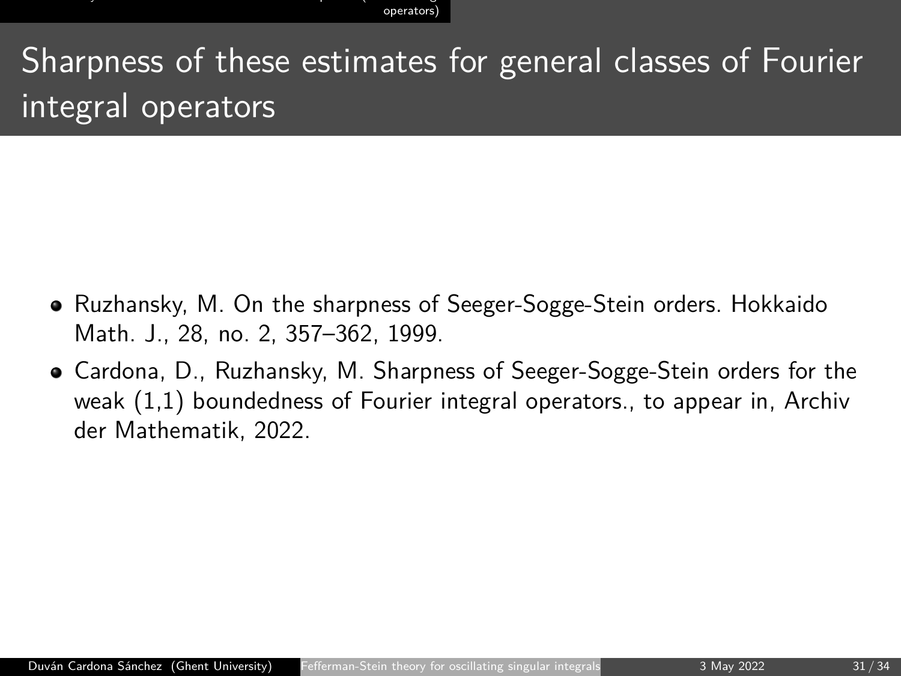Sharpness of these estimates for general classes of Fourier integral operators

- Ruzhansky, M. On the sharpness of Seeger-Sogge-Stein orders. Hokkaido Math. J., 28, no. 2, 357–362, 1999.
- Cardona, D., Ruzhansky, M. Sharpness of Seeger-Sogge-Stein orders for the weak (1,1) boundedness of Fourier integral operators., to appear in, Archiv der Mathematik, 2022.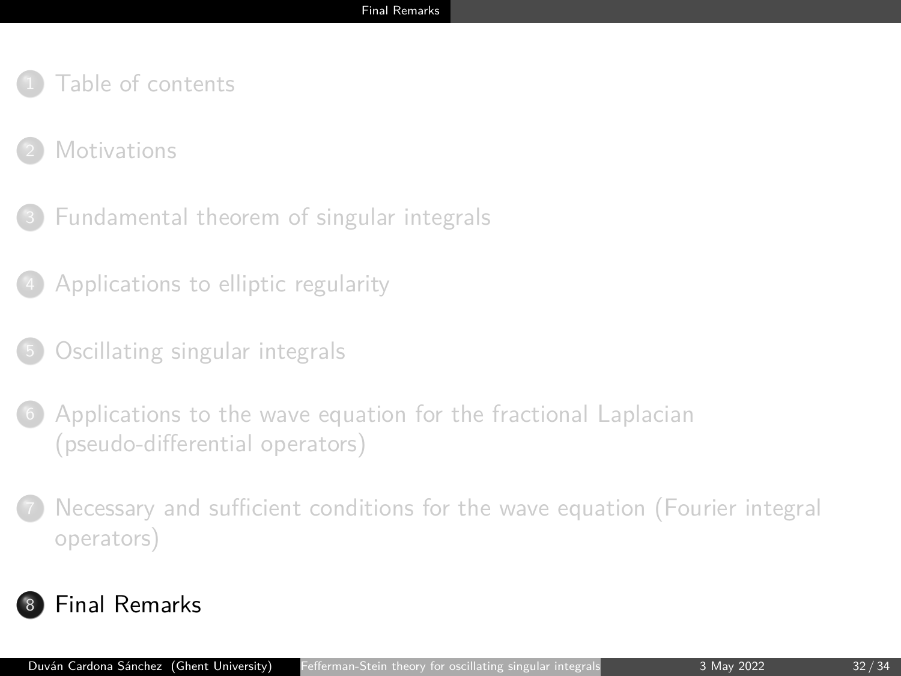- <span id="page-31-0"></span>[Table of contents](#page-1-0)
- **[Motivations](#page-3-0)**
- <sup>3</sup> [Fundamental theorem of singular integrals](#page-10-0)
- <sup>4</sup> [Applications to elliptic regularity](#page-13-0)
- <sup>5</sup> [Oscillating singular integrals](#page-16-0)
- [Applications to the wave equation for the fractional Laplacian](#page-19-0) [\(pseudo-differential operators\)](#page-19-0)
- <sup>7</sup> [Necessary and sufficient conditions for the wave equation \(Fourier integral](#page-26-0) [operators\)](#page-26-0)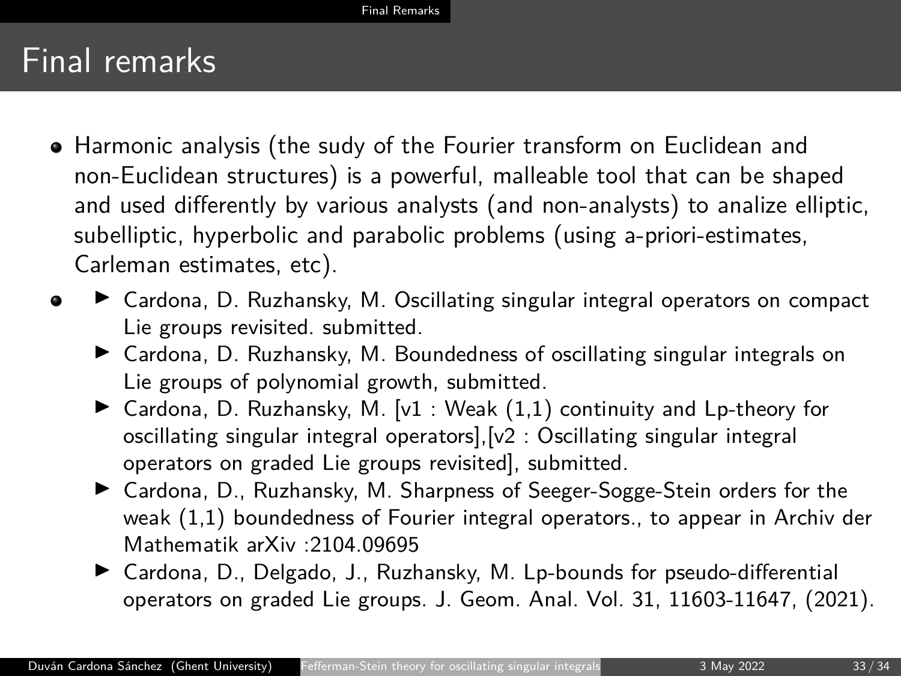- Harmonic analysis (the sudy of the Fourier transform on Euclidean and non-Euclidean structures) is a powerful, malleable tool that can be shaped and used differently by various analysts (and non-analysts) to analize elliptic, subelliptic, hyperbolic and parabolic problems (using a-priori-estimates, Carleman estimates, etc).
- ▶ Cardona, D. Ruzhansky, M. Oscillating singular integral operators on compact  $\bullet$ Lie groups revisited. submitted.
	- ▶ Cardona, D. Ruzhansky, M. Boundedness of oscillating singular integrals on Lie groups of polynomial growth, submitted.
	- ▶ Cardona, D. Ruzhansky, M. [v1 : Weak  $(1,1)$  continuity and Lp-theory for oscillating singular integral operators],[v2 : Oscillating singular integral operators on graded Lie groups revisited], submitted.
	- ▶ Cardona, D., Ruzhansky, M. Sharpness of Seeger-Sogge-Stein orders for the weak (1,1) boundedness of Fourier integral operators., to appear in Archiv der Mathematik arXiv :2104.09695
	- ▶ Cardona, D., Delgado, J., Ruzhansky, M. Lp-bounds for pseudo-differential operators on graded Lie groups. J. Geom. Anal. Vol. 31, 11603-11647, (2021).